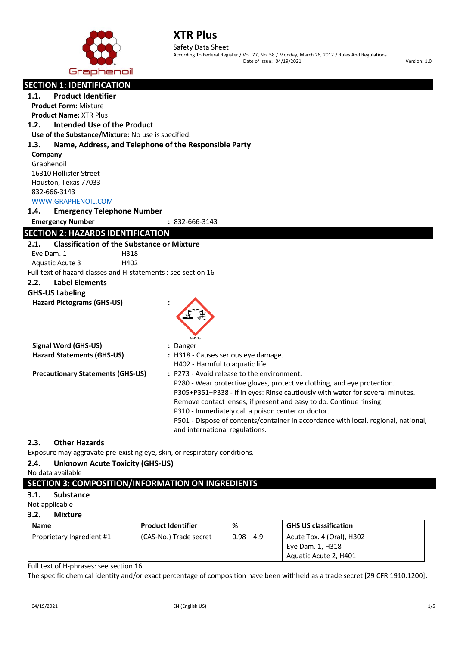

Safety Data Sheet According To Federal Register / Vol. 77, No. 58 / Monday, March 26, 2012 / Rules And Regulations Date of Issue: 04/19/2021 Version: 1.0

| <b>SECTION 1: IDENTIFICATION</b>                              |                                                                                                                                          |  |  |  |  |
|---------------------------------------------------------------|------------------------------------------------------------------------------------------------------------------------------------------|--|--|--|--|
| <b>Product Identifier</b><br>1.1.                             |                                                                                                                                          |  |  |  |  |
| <b>Product Form: Mixture</b>                                  |                                                                                                                                          |  |  |  |  |
| <b>Product Name: XTR Plus</b>                                 |                                                                                                                                          |  |  |  |  |
| Intended Use of the Product<br>1.2.                           |                                                                                                                                          |  |  |  |  |
| Use of the Substance/Mixture: No use is specified.            |                                                                                                                                          |  |  |  |  |
| 1.3.<br>Name, Address, and Telephone of the Responsible Party |                                                                                                                                          |  |  |  |  |
| Company                                                       |                                                                                                                                          |  |  |  |  |
| Graphenoil                                                    |                                                                                                                                          |  |  |  |  |
| 16310 Hollister Street                                        |                                                                                                                                          |  |  |  |  |
| Houston, Texas 77033                                          |                                                                                                                                          |  |  |  |  |
| 832-666-3143                                                  |                                                                                                                                          |  |  |  |  |
| WWW.GRAPHENOIL.COM                                            |                                                                                                                                          |  |  |  |  |
| <b>Emergency Telephone Number</b><br>1.4.                     |                                                                                                                                          |  |  |  |  |
| <b>Emergency Number</b>                                       | : 832-666-3143                                                                                                                           |  |  |  |  |
| <b>SECTION 2: HAZARDS IDENTIFICATION</b>                      |                                                                                                                                          |  |  |  |  |
| <b>Classification of the Substance or Mixture</b><br>2.1.     |                                                                                                                                          |  |  |  |  |
| Eye Dam. 1<br>H318                                            |                                                                                                                                          |  |  |  |  |
| H402<br>Aquatic Acute 3                                       |                                                                                                                                          |  |  |  |  |
| Full text of hazard classes and H-statements : see section 16 |                                                                                                                                          |  |  |  |  |
| 2.2.<br><b>Label Elements</b>                                 |                                                                                                                                          |  |  |  |  |
| <b>GHS-US Labeling</b>                                        |                                                                                                                                          |  |  |  |  |
| <b>Hazard Pictograms (GHS-US)</b>                             |                                                                                                                                          |  |  |  |  |
|                                                               |                                                                                                                                          |  |  |  |  |
|                                                               |                                                                                                                                          |  |  |  |  |
|                                                               |                                                                                                                                          |  |  |  |  |
|                                                               | <b>GHSO5</b>                                                                                                                             |  |  |  |  |
| <b>Signal Word (GHS-US)</b>                                   | : Danger                                                                                                                                 |  |  |  |  |
| <b>Hazard Statements (GHS-US)</b>                             | : H318 - Causes serious eye damage.                                                                                                      |  |  |  |  |
|                                                               | H402 - Harmful to aquatic life.<br>: P273 - Avoid release to the environment.                                                            |  |  |  |  |
| <b>Precautionary Statements (GHS-US)</b>                      | P280 - Wear protective gloves, protective clothing, and eye protection.                                                                  |  |  |  |  |
|                                                               | P305+P351+P338 - If in eyes: Rinse cautiously with water for several minutes.                                                            |  |  |  |  |
|                                                               | Remove contact lenses, if present and easy to do. Continue rinsing.                                                                      |  |  |  |  |
|                                                               |                                                                                                                                          |  |  |  |  |
|                                                               | P310 - Immediately call a poison center or doctor.<br>P501 - Dispose of contents/container in accordance with local, regional, national, |  |  |  |  |
|                                                               | and international regulations.                                                                                                           |  |  |  |  |
|                                                               |                                                                                                                                          |  |  |  |  |
| <b>Other Hazards</b><br>2.3.                                  |                                                                                                                                          |  |  |  |  |

Exposure may aggravate pre-existing eye, skin, or respiratory conditions.

# **2.4. Unknown Acute Toxicity (GHS-US)**

No data available

# **SECTION 3: COMPOSITION/INFORMATION ON INGREDIENTS**

# **3.1. Substance**

Not applicable

## **3.2. Mixture**

| <b>Name</b>               | <b>Product Identifier</b> | %            | <b>GHS US classification</b>                                           |
|---------------------------|---------------------------|--------------|------------------------------------------------------------------------|
| Proprietary Ingredient #1 | (CAS-No.) Trade secret    | $0.98 - 4.9$ | Acute Tox. 4 (Oral), H302<br>Eye Dam. 1, H318<br>Aquatic Acute 2, H401 |

Full text of H-phrases: see section 16

The specific chemical identity and/or exact percentage of composition have been withheld as a trade secret [29 CFR 1910.1200].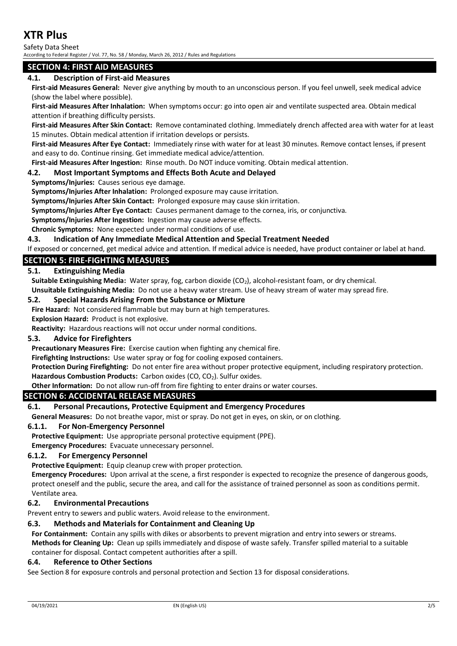Safety Data Sheet

According to Federal Register / Vol. 77, No. 58 / Monday, March 26, 2012 / Rules and Regulations

## **SECTION 4: FIRST AID MEASURES**

### **4.1. Description of First-aid Measures**

**First-aid Measures General:** Never give anything by mouth to an unconscious person. If you feel unwell, seek medical advice (show the label where possible).

**First-aid Measures After Inhalation:** When symptoms occur: go into open air and ventilate suspected area. Obtain medical attention if breathing difficulty persists.

**First-aid Measures After Skin Contact:** Remove contaminated clothing. Immediately drench affected area with water for at least 15 minutes. Obtain medical attention if irritation develops or persists.

**First-aid Measures After Eye Contact:** Immediately rinse with water for at least 30 minutes. Remove contact lenses, if present and easy to do. Continue rinsing. Get immediate medical advice/attention.

**First-aid Measures After Ingestion:** Rinse mouth. Do NOT induce vomiting. Obtain medical attention.

### **4.2. Most Important Symptoms and Effects Both Acute and Delayed**

**Symptoms/Injuries:** Causes serious eye damage.

**Symptoms/Injuries After Inhalation:** Prolonged exposure may cause irritation.

**Symptoms/Injuries After Skin Contact:** Prolonged exposure may cause skin irritation.

**Symptoms/Injuries After Eye Contact:** Causes permanent damage to the cornea, iris, or conjunctiva.

**Symptoms/Injuries After Ingestion:** Ingestion may cause adverse effects.

**Chronic Symptoms:** None expected under normal conditions of use.

#### **4.3. Indication of Any Immediate Medical Attention and Special Treatment Needed**

If exposed or concerned, get medical advice and attention. If medical advice is needed, have product container or label at hand.

### **SECTION 5: FIRE-FIGHTING MEASURES**

### **5.1. Extinguishing Media**

Suitable Extinguishing Media: Water spray, fog, carbon dioxide (CO<sub>2</sub>), alcohol-resistant foam, or dry chemical.

**Unsuitable Extinguishing Media:** Do not use a heavy water stream. Use of heavy stream of water may spread fire.

### **5.2. Special Hazards Arising From the Substance or Mixture**

**Fire Hazard:** Not considered flammable but may burn at high temperatures.

**Explosion Hazard:** Product is not explosive.

**Reactivity:** Hazardous reactions will not occur under normal conditions.

### **5.3. Advice for Firefighters**

**Precautionary Measures Fire:** Exercise caution when fighting any chemical fire.

**Firefighting Instructions:** Use water spray or fog for cooling exposed containers.

**Protection During Firefighting:** Do not enter fire area without proper protective equipment, including respiratory protection. Hazardous Combustion Products: Carbon oxides (CO, CO<sub>2</sub>). Sulfur oxides.

**Other Information:** Do not allow run-off from fire fighting to enter drains or water courses.

### **SECTION 6: ACCIDENTAL RELEASE MEASURES**

### **6.1. Personal Precautions, Protective Equipment and Emergency Procedures**

**General Measures:** Do not breathe vapor, mist or spray. Do not get in eyes, on skin, or on clothing.

### **6.1.1. For Non-Emergency Personnel**

**Protective Equipment:** Use appropriate personal protective equipment (PPE).

**Emergency Procedures:** Evacuate unnecessary personnel.

### **6.1.2. For Emergency Personnel**

**Protective Equipment:** Equip cleanup crew with proper protection.

**Emergency Procedures:** Upon arrival at the scene, a first responder is expected to recognize the presence of dangerous goods, protect oneself and the public, secure the area, and call for the assistance of trained personnel as soon as conditions permit. Ventilate area.

### **6.2. Environmental Precautions**

Prevent entry to sewers and public waters. Avoid release to the environment.

## **6.3. Methods and Materials for Containment and Cleaning Up**

**For Containment:** Contain any spills with dikes or absorbents to prevent migration and entry into sewers or streams. **Methods for Cleaning Up:** Clean up spills immediately and dispose of waste safely. Transfer spilled material to a suitable

container for disposal. Contact competent authorities after a spill.

### **6.4. Reference to Other Sections**

See Section 8 for exposure controls and personal protection and Section 13 for disposal considerations.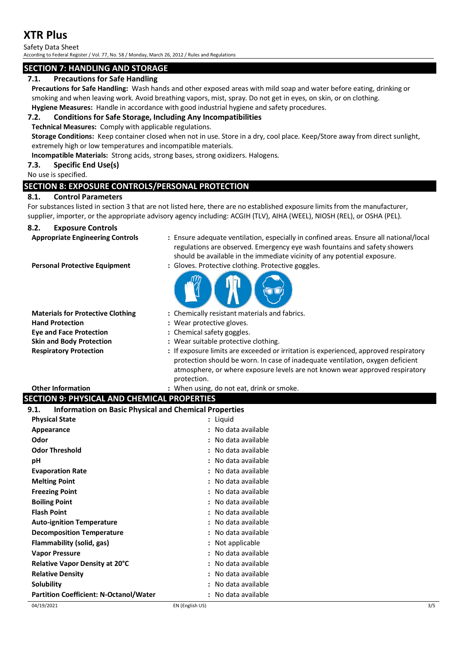Safety Data Sheet

According to Federal Register / Vol. 77, No. 58 / Monday, March 26, 2012 / Rules and Regulations

# **SECTION 7: HANDLING AND STORAGE**

# **7.1. Precautions for Safe Handling**

**Precautions for Safe Handling:** Wash hands and other exposed areas with mild soap and water before eating, drinking or smoking and when leaving work. Avoid breathing vapors, mist, spray. Do not get in eyes, on skin, or on clothing. **Hygiene Measures:** Handle in accordance with good industrial hygiene and safety procedures.

## **7.2. Conditions for Safe Storage, Including Any Incompatibilities**

**Technical Measures:** Comply with applicable regulations.

**Storage Conditions:** Keep container closed when not in use. Store in a dry, cool place. Keep/Store away from direct sunlight, extremely high or low temperatures and incompatible materials.

**Incompatible Materials:** Strong acids, strong bases, strong oxidizers. Halogens.

## **7.3. Specific End Use(s)**

No use is specified.

# **SECTION 8: EXPOSURE CONTROLS/PERSONAL PROTECTION**

## **8.1. Control Parameters**

For substances listed in section 3 that are not listed here, there are no established exposure limits from the manufacturer, supplier, importer, or the appropriate advisory agency including: ACGIH (TLV), AIHA (WEEL), NIOSH (REL), or OSHA (PEL).

## **8.2. Exposure Controls**

- **Appropriate Engineering Controls :** Ensure adequate ventilation, especially in confined areas. Ensure all national/local regulations are observed. Emergency eye wash fountains and safety showers should be available in the immediate vicinity of any potential exposure.
- 
- **Personal Protective Equipment :** Gloves. Protective clothing. Protective goggles.



- **Hand Protection :** Wear protective gloves. **Eye and Face Protection :** Chemical safety goggles. **Skin and Body Protection :** Wear suitable protective clothing.
- **Materials for Protective Clothing :** Chemically resistant materials and fabrics.
	-
	-
	-
- **Respiratory Protection :** If exposure limits are exceeded or irritation is experienced, approved respiratory protection should be worn. In case of inadequate ventilation, oxygen deficient atmosphere, or where exposure levels are not known wear approved respiratory protection.

# 04/19/2021 EN (English US) 3/5 **Other Information :** When using, do not eat, drink or smoke. **SECTION 9: PHYSICAL AND CHEMICAL PROPERTIES 9.1. Information on Basic Physical and Chemical Properties Physical State :** Liquid **Appearance :** No data available**Odor :** No data available **Odor Threshold :** No data available **pH :** No data available **Evaporation Rate :** No data available **Melting Point Contract Contract Contract Contract Contract Contract Contract Contract Contract Contract Contract Contract Contract Contract Contract Contract Contract Contract Contract Contract Contract Contract Contrac Freezing Point :** No data available **Boiling Point Example 2018 1 CO 2018 1 CO 2018 1 CO 2018 1 CO 2018 1 CO 2018 1 CO 2018 1 CO 2018 1 CO 2018 2029 2029 2029 2029 2029 2029 2029 2029 2029 Flash Point :** No data available **Auto-ignition Temperature :** No data available **Decomposition Temperature :** No data available **Flammability (solid, gas) :** Not applicable **Vapor Pressure :** No data available **Relative Vapor Density at 20°C :** No data available **Relative Density :** No data available **Solubility :** No data available **Partition Coefficient: N-Octanol/Water :** No data available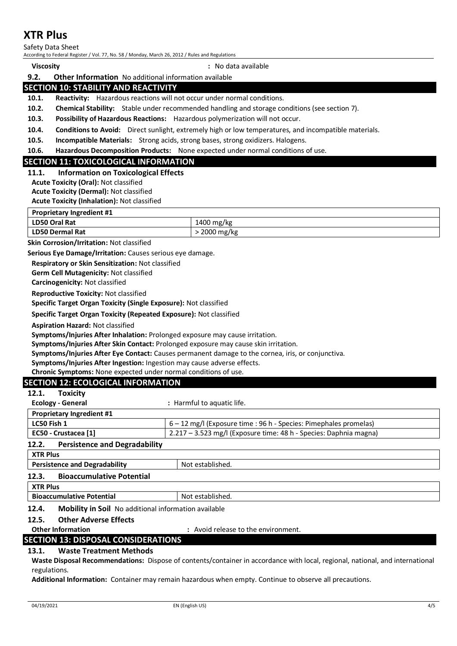Safety Data Sheet

According to Federal Register / Vol. 77, No. 58 / Monday, March 26, 2012 / Rules and Regulations

**Viscosity :** No data available

### **9.2. Other Information** No additional information available **SECTION 10: STABILITY AND REACTIVITY**

**10.1. Reactivity:** Hazardous reactions will not occur under normal conditions.

**10.2. Chemical Stability:** Stable under recommended handling and storage conditions (see section 7).

**10.3. Possibility of Hazardous Reactions:** Hazardous polymerization will not occur.

**10.4. Conditions to Avoid:** Direct sunlight, extremely high or low temperatures, and incompatible materials.

**10.5. Incompatible Materials:** Strong acids, strong bases, strong oxidizers. Halogens.

**10.6. Hazardous Decomposition Products:** None expected under normal conditions of use.

## **SECTION 11: TOXICOLOGICAL INFORMATION**

**11.1. Information on Toxicological Effects**

**Acute Toxicity (Oral):** Not classified

**Acute Toxicity (Dermal):** Not classified

**Acute Toxicity (Inhalation):** Not classified

| <b>Proprietary Ingredient #1</b> |  |
|----------------------------------|--|
|                                  |  |

| LD50 Oral Rat     | 1400<br>∖ mg/kg |
|-------------------|-----------------|
| LD50 <sub>0</sub> | 2000            |
| ) Dermal Rat      | mg/kg           |

**Skin Corrosion/Irritation:** Not classified

**Serious Eye Damage/Irritation:** Causes serious eye damage.

**Respiratory or Skin Sensitization:** Not classified

**Germ Cell Mutagenicity:** Not classified

**Carcinogenicity:** Not classified

**Reproductive Toxicity:** Not classified

**Specific Target Organ Toxicity (Single Exposure):** Not classified

**Specific Target Organ Toxicity (Repeated Exposure):** Not classified

**Aspiration Hazard:** Not classified

**Symptoms/Injuries After Inhalation:** Prolonged exposure may cause irritation.

**Symptoms/Injuries After Skin Contact:** Prolonged exposure may cause skin irritation.

**Symptoms/Injuries After Eye Contact:** Causes permanent damage to the cornea, iris, or conjunctiva.

**Symptoms/Injuries After Ingestion:** Ingestion may cause adverse effects.

**Chronic Symptoms:** None expected under normal conditions of use.

# **SECTION 12: ECOLOGICAL INFORMATION**

| 12.1.<br><b>Toxicity</b>                                             |                                                                   |  |  |
|----------------------------------------------------------------------|-------------------------------------------------------------------|--|--|
| <b>Ecology - General</b>                                             | : Harmful to aquatic life.                                        |  |  |
| <b>Proprietary Ingredient #1</b>                                     |                                                                   |  |  |
| LC50 Fish 1                                                          | 6 - 12 mg/l (Exposure time : 96 h - Species: Pimephales promelas) |  |  |
| EC50 - Crustacea [1]                                                 | 2.217 – 3.523 mg/l (Exposure time: 48 h - Species: Daphnia magna) |  |  |
| <b>Persistence and Degradability</b><br>12.2.                        |                                                                   |  |  |
| <b>XTR Plus</b>                                                      |                                                                   |  |  |
| <b>Persistence and Degradability</b><br>Not established.             |                                                                   |  |  |
| <b>Bioaccumulative Potential</b><br>12.3.                            |                                                                   |  |  |
| <b>XTR Plus</b>                                                      |                                                                   |  |  |
| <b>Bioaccumulative Potential</b><br>Not established.                 |                                                                   |  |  |
| 12.4.<br><b>Mobility in Soil</b> No additional information available |                                                                   |  |  |
| <b>Other Adverse Effects</b><br>12.5.                                |                                                                   |  |  |
| <b>Other Information</b><br>: Avoid release to the environment.      |                                                                   |  |  |

## **SECTION 13: DISPOSAL CONSIDERATIONS**

## **13.1. Waste Treatment Methods**

**Waste Disposal Recommendations:** Dispose of contents/container in accordance with local, regional, national, and international regulations.

**Additional Information:** Container may remain hazardous when empty. Continue to observe all precautions.